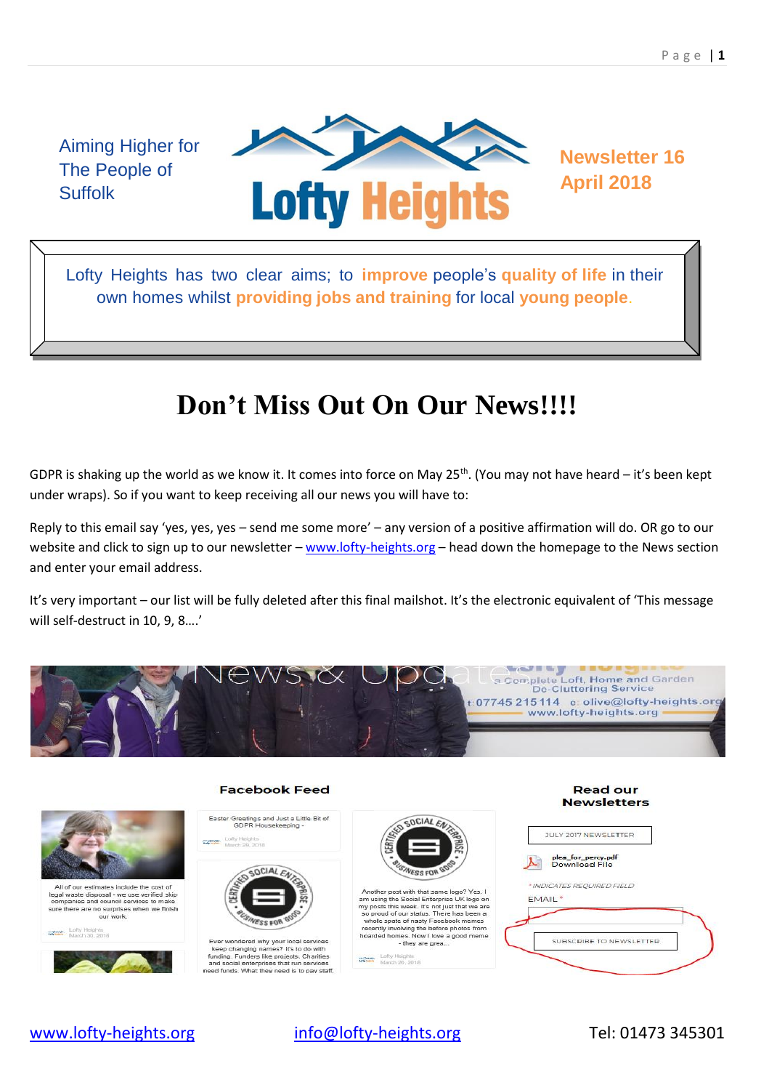Aiming Higher for The People of **Suffolk** 



Lofty Heights has two clear aims; to **improve** people's **quality of life** in their own homes whilst **providing jobs and training** for local **young people**.

# **Don't Miss Out On Our News!!!!**

GDPR is shaking up the world as we know it. It comes into force on May 25<sup>th</sup>. (You may not have heard – it's been kept under wraps). So if you want to keep receiving all our news you will have to:

Reply to this email say 'yes, yes, yes – send me some more' – any version of a positive affirmation will do. OR go to our website and click to sign up to our newsletter – [www.lofty-heights.org](http://www.lofty-heights.org/) – head down the homepage to the News section and enter your email address.

It's very important – our list will be fully deleted after this final mailshot. It's the electronic equivalent of 'This message will self-destruct in 10, 9, 8….'









#### **Facebook Feed**

Easter Greetings and Just a Little Bit of<br>GDPR Housekeeping ofty Heights<br>fanch 29, 2018



ed why your local ser Ever wondered why your local service:<br>keep changing names? It's to do with<br>funding. Funders like projects. Charitie<br>and social enterprises that run service<br>eed funds. What they need is to pay st



- they are grea... Lofty Heights<br>March 26, 2018

**Read our Newsletters** 

| plea for percy.pdf<br>Download File |  |  |
|-------------------------------------|--|--|
| * INDICATES REQUIRED FIELD          |  |  |
| <b>EMAIL</b> <sup>*</sup>           |  |  |
|                                     |  |  |

[www.lofty-heights.org](http://www.lofty-heights.org/) [info@lofty-heights.org](mailto:info@lofty-heights.org) Tel: 01473 345301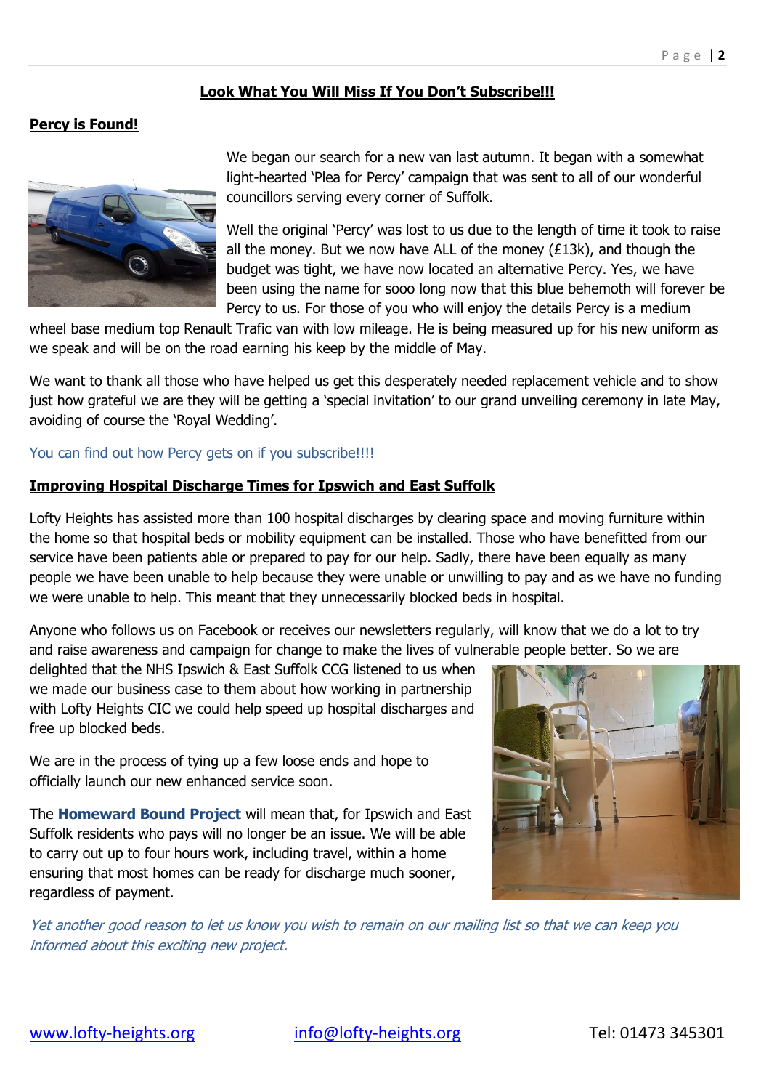## **Look What You Will Miss If You Don't Subscribe!!!**

## **Percy is Found!**



We began our search for a new van last autumn. It began with a somewhat light-hearted 'Plea for Percy' campaign that was sent to all of our wonderful councillors serving every corner of Suffolk.

Well the original 'Percy' was lost to us due to the length of time it took to raise all the money. But we now have ALL of the money  $(E13k)$ , and though the budget was tight, we have now located an alternative Percy. Yes, we have been using the name for sooo long now that this blue behemoth will forever be Percy to us. For those of you who will enjoy the details Percy is a medium

wheel base medium top Renault Trafic van with low mileage. He is being measured up for his new uniform as we speak and will be on the road earning his keep by the middle of May.

We want to thank all those who have helped us get this desperately needed replacement vehicle and to show just how grateful we are they will be getting a 'special invitation' to our grand unveiling ceremony in late May, avoiding of course the 'Royal Wedding'.

#### You can find out how Percy gets on if you subscribe!!!!

### **Improving Hospital Discharge Times for Ipswich and East Suffolk**

Lofty Heights has assisted more than 100 hospital discharges by clearing space and moving furniture within the home so that hospital beds or mobility equipment can be installed. Those who have benefitted from our service have been patients able or prepared to pay for our help. Sadly, there have been equally as many people we have been unable to help because they were unable or unwilling to pay and as we have no funding we were unable to help. This meant that they unnecessarily blocked beds in hospital.

Anyone who follows us on Facebook or receives our newsletters regularly, will know that we do a lot to try and raise awareness and campaign for change to make the lives of vulnerable people better. So we are

delighted that the NHS Ipswich & East Suffolk CCG listened to us when we made our business case to them about how working in partnership with Lofty Heights CIC we could help speed up hospital discharges and free up blocked beds.

We are in the process of tying up a few loose ends and hope to officially launch our new enhanced service soon.

The **Homeward Bound Project** will mean that, for Ipswich and East Suffolk residents who pays will no longer be an issue. We will be able to carry out up to four hours work, including travel, within a home ensuring that most homes can be ready for discharge much sooner, regardless of payment.



Yet another good reason to let us know you wish to remain on our mailing list so that we can keep you informed about this exciting new project.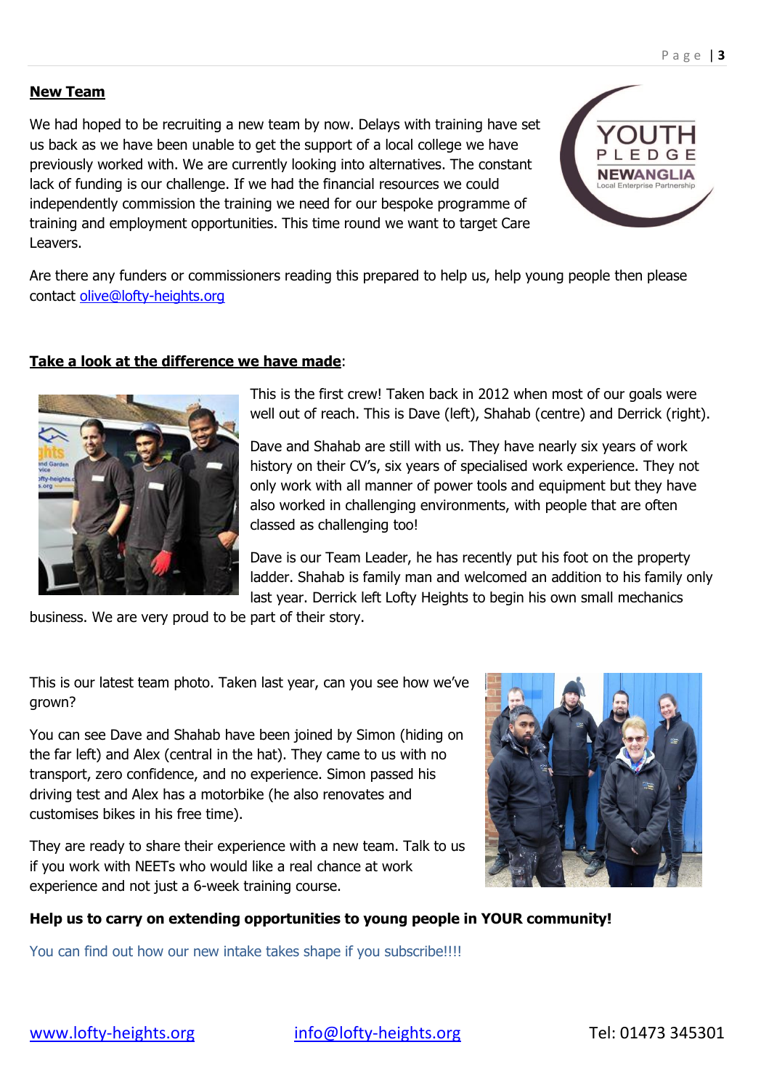#### **New Team**

We had hoped to be recruiting a new team by now. Delays with training have set us back as we have been unable to get the support of a local college we have previously worked with. We are currently looking into alternatives. The constant lack of funding is our challenge. If we had the financial resources we could independently commission the training we need for our bespoke programme of training and employment opportunities. This time round we want to target Care Leavers.



Are there any funders or commissioners reading this prepared to help us, help young people then please contact [olive@lofty-heights.org](mailto:olive@lofty-heights.org)

### **Take a look at the difference we have made**:



This is the first crew! Taken back in 2012 when most of our goals were well out of reach. This is Dave (left), Shahab (centre) and Derrick (right).

Dave and Shahab are still with us. They have nearly six years of work history on their CV's, six years of specialised work experience. They not only work with all manner of power tools and equipment but they have also worked in challenging environments, with people that are often classed as challenging too!

Dave is our Team Leader, he has recently put his foot on the property ladder. Shahab is family man and welcomed an addition to his family only last year. Derrick left Lofty Heights to begin his own small mechanics

business. We are very proud to be part of their story.

This is our latest team photo. Taken last year, can you see how we've grown?

You can see Dave and Shahab have been joined by Simon (hiding on the far left) and Alex (central in the hat). They came to us with no transport, zero confidence, and no experience. Simon passed his driving test and Alex has a motorbike (he also renovates and customises bikes in his free time).

They are ready to share their experience with a new team. Talk to us if you work with NEETs who would like a real chance at work experience and not just a 6-week training course.



## **Help us to carry on extending opportunities to young people in YOUR community!**

You can find out how our new intake takes shape if you subscribe!!!!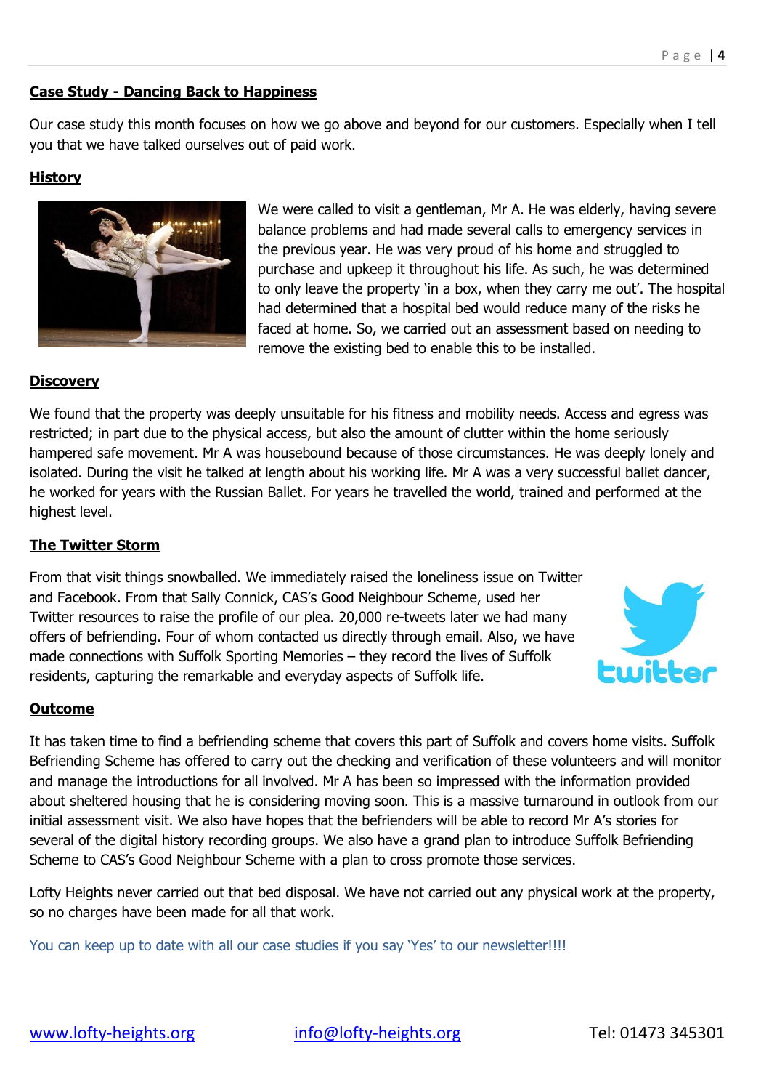### **Case Study - Dancing Back to Happiness**

Our case study this month focuses on how we go above and beyond for our customers. Especially when I tell you that we have talked ourselves out of paid work.

## **History**



We were called to visit a gentleman, Mr A. He was elderly, having severe balance problems and had made several calls to emergency services in the previous year. He was very proud of his home and struggled to purchase and upkeep it throughout his life. As such, he was determined to only leave the property 'in a box, when they carry me out'. The hospital had determined that a hospital bed would reduce many of the risks he faced at home. So, we carried out an assessment based on needing to remove the existing bed to enable this to be installed.

#### **Discovery**

We found that the property was deeply unsuitable for his fitness and mobility needs. Access and egress was restricted; in part due to the physical access, but also the amount of clutter within the home seriously hampered safe movement. Mr A was housebound because of those circumstances. He was deeply lonely and isolated. During the visit he talked at length about his working life. Mr A was a very successful ballet dancer, he worked for years with the Russian Ballet. For years he travelled the world, trained and performed at the highest level.

#### **The Twitter Storm**

From that visit things snowballed. We immediately raised the loneliness issue on Twitter and Facebook. From that Sally Connick, CAS's Good Neighbour Scheme, used her Twitter resources to raise the profile of our plea. 20,000 re-tweets later we had many offers of befriending. Four of whom contacted us directly through email. Also, we have made connections with Suffolk Sporting Memories – they record the lives of Suffolk residents, capturing the remarkable and everyday aspects of Suffolk life.



#### **Outcome**

It has taken time to find a befriending scheme that covers this part of Suffolk and covers home visits. Suffolk Befriending Scheme has offered to carry out the checking and verification of these volunteers and will monitor and manage the introductions for all involved. Mr A has been so impressed with the information provided about sheltered housing that he is considering moving soon. This is a massive turnaround in outlook from our initial assessment visit. We also have hopes that the befrienders will be able to record Mr A's stories for several of the digital history recording groups. We also have a grand plan to introduce Suffolk Befriending Scheme to CAS's Good Neighbour Scheme with a plan to cross promote those services.

Lofty Heights never carried out that bed disposal. We have not carried out any physical work at the property, so no charges have been made for all that work.

You can keep up to date with all our case studies if you say 'Yes' to our newsletter!!!!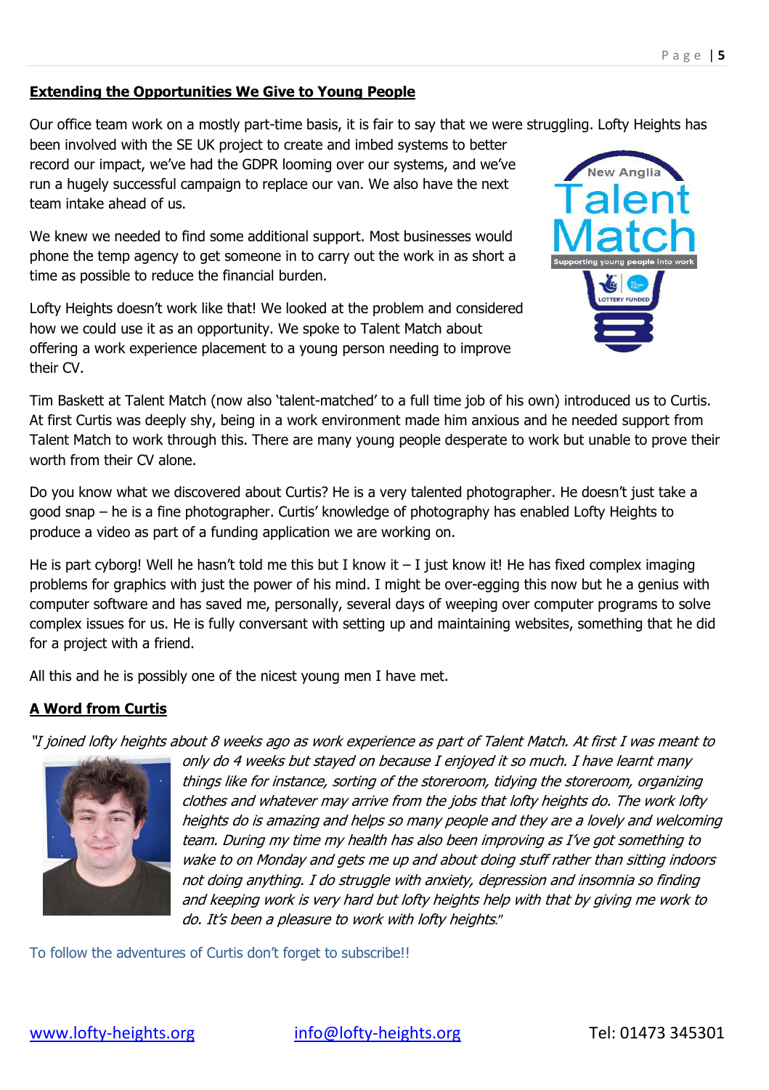## **Extending the Opportunities We Give to Young People**

Our office team work on a mostly part-time basis, it is fair to say that we were struggling. Lofty Heights has

been involved with the SE UK project to create and imbed systems to better record our impact, we've had the GDPR looming over our systems, and we've run a hugely successful campaign to replace our van. We also have the next team intake ahead of us.

We knew we needed to find some additional support. Most businesses would phone the temp agency to get someone in to carry out the work in as short a time as possible to reduce the financial burden.

Lofty Heights doesn't work like that! We looked at the problem and considered how we could use it as an opportunity. We spoke to Talent Match about offering a work experience placement to a young person needing to improve their CV.



Tim Baskett at Talent Match (now also 'talent-matched' to a full time job of his own) introduced us to Curtis. At first Curtis was deeply shy, being in a work environment made him anxious and he needed support from Talent Match to work through this. There are many young people desperate to work but unable to prove their worth from their CV alone.

Do you know what we discovered about Curtis? He is a very talented photographer. He doesn't just take a good snap – he is a fine photographer. Curtis' knowledge of photography has enabled Lofty Heights to produce a video as part of a funding application we are working on.

He is part cyborg! Well he hasn't told me this but I know it  $-$  I just know it! He has fixed complex imaging problems for graphics with just the power of his mind. I might be over-egging this now but he a genius with computer software and has saved me, personally, several days of weeping over computer programs to solve complex issues for us. He is fully conversant with setting up and maintaining websites, something that he did for a project with a friend.

All this and he is possibly one of the nicest young men I have met.

## **A Word from Curtis**

"I joined lofty heights about 8 weeks ago as work experience as part of Talent Match. At first I was meant to



only do 4 weeks but stayed on because I enjoyed it so much. I have learnt many things like for instance, sorting of the storeroom, tidying the storeroom, organizing clothes and whatever may arrive from the jobs that lofty heights do. The work lofty heights do is amazing and helps so many people and they are a lovely and welcoming team. During my time my health has also been improving as I've got something to wake to on Monday and gets me up and about doing stuff rather than sitting indoors not doing anything. I do struggle with anxiety, depression and insomnia so finding and keeping work is very hard but lofty heights help with that by giving me work to do. It's been a pleasure to work with lofty heights."

To follow the adventures of Curtis don't forget to subscribe!!